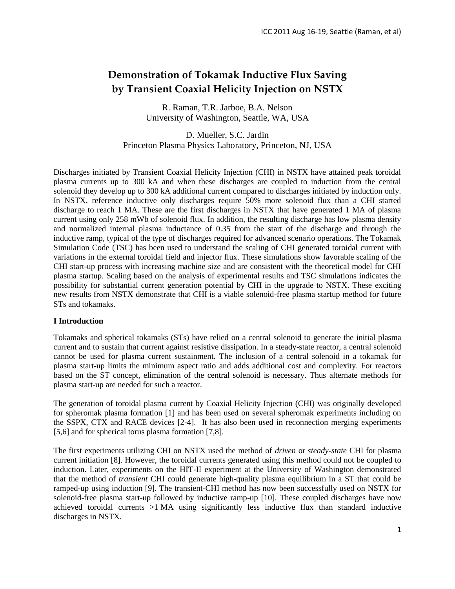# **Demonstration of Tokamak Inductive Flux Saving by Transient Coaxial Helicity Injection on NSTX**

R. Raman, T.R. Jarboe, B.A. Nelson University of Washington, Seattle, WA, USA

D. Mueller, S.C. Jardin Princeton Plasma Physics Laboratory, Princeton, NJ, USA

Discharges initiated by Transient Coaxial Helicity Injection (CHI) in NSTX have attained peak toroidal plasma currents up to 300 kA and when these discharges are coupled to induction from the central solenoid they develop up to 300 kA additional current compared to discharges initiated by induction only. In NSTX, reference inductive only discharges require 50% more solenoid flux than a CHI started discharge to reach 1 MA. These are the first discharges in NSTX that have generated 1 MA of plasma current using only 258 mWb of solenoid flux. In addition, the resulting discharge has low plasma density and normalized internal plasma inductance of 0.35 from the start of the discharge and through the inductive ramp, typical of the type of discharges required for advanced scenario operations. The Tokamak Simulation Code (TSC) has been used to understand the scaling of CHI generated toroidal current with variations in the external toroidal field and injector flux. These simulations show favorable scaling of the CHI start-up process with increasing machine size and are consistent with the theoretical model for CHI plasma startup. Scaling based on the analysis of experimental results and TSC simulations indicates the possibility for substantial current generation potential by CHI in the upgrade to NSTX. These exciting new results from NSTX demonstrate that CHI is a viable solenoid-free plasma startup method for future STs and tokamaks.

# **I Introduction**

Tokamaks and spherical tokamaks (STs) have relied on a central solenoid to generate the initial plasma current and to sustain that current against resistive dissipation. In a steady-state reactor, a central solenoid cannot be used for plasma current sustainment. The inclusion of a central solenoid in a tokamak for plasma start-up limits the minimum aspect ratio and adds additional cost and complexity. For reactors based on the ST concept, elimination of the central solenoid is necessary. Thus alternate methods for plasma start-up are needed for such a reactor.

The generation of toroidal plasma current by Coaxial Helicity Injection (CHI) was originally developed for spheromak plasma formation [1] and has been used on several spheromak experiments including on the SSPX, CTX and RACE devices [2-4]. It has also been used in reconnection merging experiments [5,6] and for spherical torus plasma formation [7,8].

The first experiments utilizing CHI on NSTX used the method of *driven* or *steady-state* CHI for plasma current initiation [8]. However, the toroidal currents generated using this method could not be coupled to induction. Later, experiments on the HIT-II experiment at the University of Washington demonstrated that the method of *transient* CHI could generate high-quality plasma equilibrium in a ST that could be ramped-up using induction [9]. The transient-CHI method has now been successfully used on NSTX for solenoid-free plasma start-up followed by inductive ramp-up [10]. These coupled discharges have now achieved toroidal currents  $>1$  MA using significantly less inductive flux than standard inductive discharges in NSTX.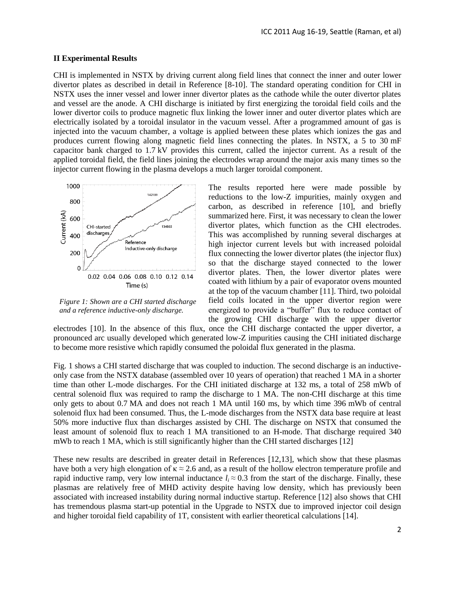#### **II Experimental Results**

CHI is implemented in NSTX by driving current along field lines that connect the inner and outer lower divertor plates as described in detail in Reference [8-10]. The standard operating condition for CHI in NSTX uses the inner vessel and lower inner divertor plates as the cathode while the outer divertor plates and vessel are the anode. A CHI discharge is initiated by first energizing the toroidal field coils and the lower divertor coils to produce magnetic flux linking the lower inner and outer divertor plates which are electrically isolated by a toroidal insulator in the vacuum vessel. After a programmed amount of gas is injected into the vacuum chamber, a voltage is applied between these plates which ionizes the gas and produces current flowing along magnetic field lines connecting the plates. In NSTX, a 5 to 30 mF capacitor bank charged to 1.7 kV provides this current, called the injector current. As a result of the applied toroidal field, the field lines joining the electrodes wrap around the major axis many times so the injector current flowing in the plasma develops a much larger toroidal component.



*Figure 1: Shown are a CHI started discharge and a reference inductive-only discharge.*

The results reported here were made possible by reductions to the low-Z impurities, mainly oxygen and carbon, as described in reference [10], and briefly summarized here. First, it was necessary to clean the lower divertor plates, which function as the CHI electrodes. This was accomplished by running several discharges at high injector current levels but with increased poloidal flux connecting the lower divertor plates (the injector flux) so that the discharge stayed connected to the lower divertor plates. Then, the lower divertor plates were coated with lithium by a pair of evaporator ovens mounted at the top of the vacuum chamber [11]. Third, two poloidal field coils located in the upper divertor region were energized to provide a "buffer" flux to reduce contact of the growing CHI discharge with the upper divertor

electrodes [10]. In the absence of this flux, once the CHI discharge contacted the upper divertor, a pronounced arc usually developed which generated low-Z impurities causing the CHI initiated discharge to become more resistive which rapidly consumed the poloidal flux generated in the plasma.

Fig. 1 shows a CHI started discharge that was coupled to induction. The second discharge is an inductiveonly case from the NSTX database (assembled over 10 years of operation) that reached 1 MA in a shorter time than other L-mode discharges. For the CHI initiated discharge at 132 ms, a total of 258 mWb of central solenoid flux was required to ramp the discharge to 1 MA. The non-CHI discharge at this time only gets to about 0.7 MA and does not reach 1 MA until 160 ms, by which time 396 mWb of central solenoid flux had been consumed. Thus, the L-mode discharges from the NSTX data base require at least 50% more inductive flux than discharges assisted by CHI. The discharge on NSTX that consumed the least amount of solenoid flux to reach 1 MA transitioned to an H-mode. That discharge required 340 mWb to reach 1 MA, which is still significantly higher than the CHI started discharges [12]

These new results are described in greater detail in References [12,13], which show that these plasmas have both a very high elongation of  $\kappa \approx 2.6$  and, as a result of the hollow electron temperature profile and rapid inductive ramp, very low internal inductance  $l_i \approx 0.3$  from the start of the discharge. Finally, these plasmas are relatively free of MHD activity despite having low density, which has previously been associated with increased instability during normal inductive startup. Reference [12] also shows that CHI has tremendous plasma start-up potential in the Upgrade to NSTX due to improved injector coil design and higher toroidal field capability of 1T, consistent with earlier theoretical calculations [14].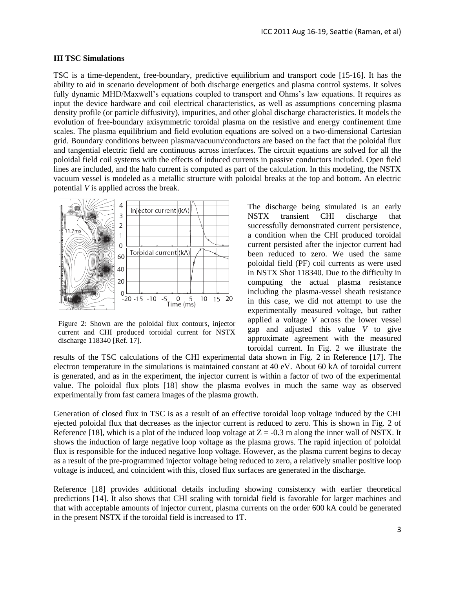#### **III TSC Simulations**

TSC is a time-dependent, free-boundary, predictive equilibrium and transport code [15-16]. It has the ability to aid in scenario development of both discharge energetics and plasma control systems. It solves fully dynamic MHD/Maxwell's equations coupled to transport and Ohms's law equations. It requires as input the device hardware and coil electrical characteristics, as well as assumptions concerning plasma density profile (or particle diffusivity), impurities, and other global discharge characteristics. It models the evolution of free-boundary axisymmetric toroidal plasma on the resistive and energy confinement time scales. The plasma equilibrium and field evolution equations are solved on a two-dimensional Cartesian grid. Boundary conditions between plasma/vacuum/conductors are based on the fact that the poloidal flux and tangential electric field are continuous across interfaces. The circuit equations are solved for all the poloidal field coil systems with the effects of induced currents in passive conductors included. Open field lines are included, and the halo current is computed as part of the calculation. In this modeling, the NSTX vacuum vessel is modeled as a metallic structure with poloidal breaks at the top and bottom. An electric potential *V* is applied across the break.



Figure 2: Shown are the poloidal flux contours, injector current and CHI produced toroidal current for NSTX discharge 118340 [Ref. 17].

The discharge being simulated is an early NSTX transient CHI discharge that successfully demonstrated current persistence, a condition when the CHI produced toroidal current persisted after the injector current had been reduced to zero. We used the same poloidal field (PF) coil currents as were used in NSTX Shot 118340. Due to the difficulty in computing the actual plasma resistance including the plasma-vessel sheath resistance in this case, we did not attempt to use the experimentally measured voltage, but rather applied a voltage *V* across the lower vessel gap and adjusted this value *V* to give approximate agreement with the measured toroidal current. In Fig. 2 we illustrate the

results of the TSC calculations of the CHI experimental data shown in Fig. 2 in Reference [17]. The electron temperature in the simulations is maintained constant at 40 eV. About 60 kA of toroidal current is generated, and as in the experiment, the injector current is within a factor of two of the experimental value. The poloidal flux plots [18] show the plasma evolves in much the same way as observed experimentally from fast camera images of the plasma growth.

Generation of closed flux in TSC is as a result of an effective toroidal loop voltage induced by the CHI ejected poloidal flux that decreases as the injector current is reduced to zero. This is shown in Fig. 2 of Reference [18], which is a plot of the induced loop voltage at  $Z = -0.3$  m along the inner wall of NSTX. It shows the induction of large negative loop voltage as the plasma grows. The rapid injection of poloidal flux is responsible for the induced negative loop voltage. However, as the plasma current begins to decay as a result of the pre-programmed injector voltage being reduced to zero, a relatively smaller positive loop voltage is induced, and coincident with this, closed flux surfaces are generated in the discharge.

Reference [18] provides additional details including showing consistency with earlier theoretical predictions [14]. It also shows that CHI scaling with toroidal field is favorable for larger machines and that with acceptable amounts of injector current, plasma currents on the order 600 kA could be generated in the present NSTX if the toroidal field is increased to 1T.